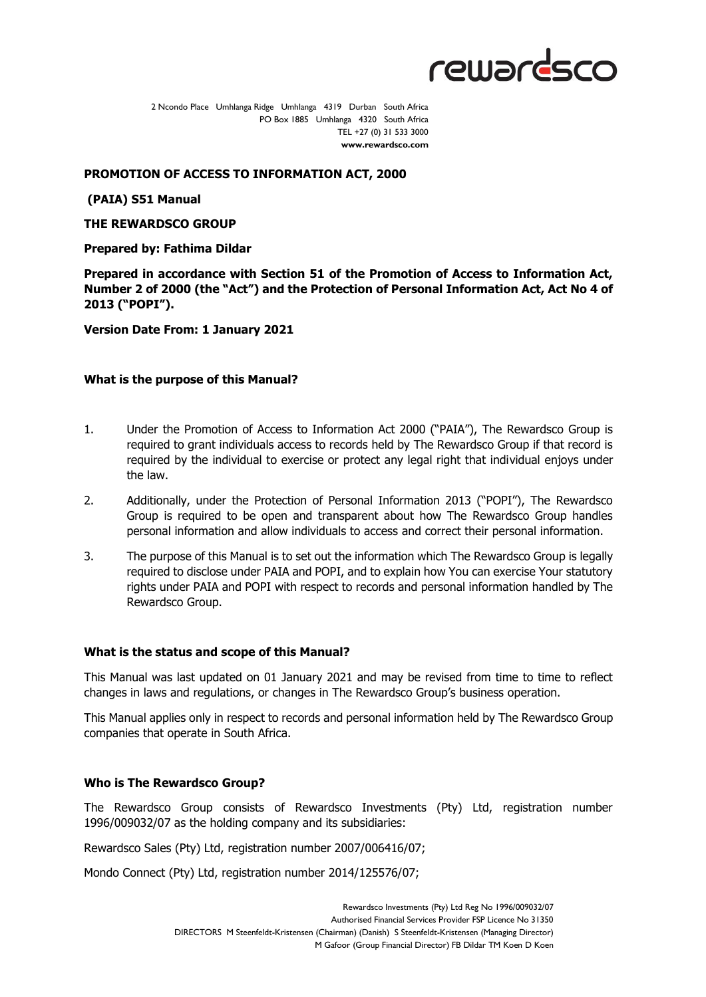

2 Ncondo Place Umhlanga Ridge Umhlanga 4319 Durban South Africa PO Box 1885 Umhlanga 4320 South Africa TEL +27 (0) 31 533 3000 **www.rewardsco.com**

#### **PROMOTION OF ACCESS TO INFORMATION ACT, 2000**

#### **(PAIA) S51 Manual**

#### **THE REWARDSCO GROUP**

#### **Prepared by: Fathima Dildar**

**Prepared in accordance with Section 51 of the Promotion of Access to Information Act, Number 2 of 2000 (the "Act") and the Protection of Personal Information Act, Act No 4 of 2013 ("POPI").**

**Version Date From: 1 January 2021** 

#### **What is the purpose of this Manual?**

- 1. Under the Promotion of Access to Information Act 2000 ("PAIA"), The Rewardsco Group is required to grant individuals access to records held by The Rewardsco Group if that record is required by the individual to exercise or protect any legal right that individual enjoys under the law.
- 2. Additionally, under the Protection of Personal Information 2013 ("POPI"), The Rewardsco Group is required to be open and transparent about how The Rewardsco Group handles personal information and allow individuals to access and correct their personal information.
- 3. The purpose of this Manual is to set out the information which The Rewardsco Group is legally required to disclose under PAIA and POPI, and to explain how You can exercise Your statutory rights under PAIA and POPI with respect to records and personal information handled by The Rewardsco Group.

## **What is the status and scope of this Manual?**

This Manual was last updated on 01 January 2021 and may be revised from time to time to reflect changes in laws and regulations, or changes in The Rewardsco Group's business operation.

This Manual applies only in respect to records and personal information held by The Rewardsco Group companies that operate in South Africa.

## **Who is The Rewardsco Group?**

The Rewardsco Group consists of Rewardsco Investments (Pty) Ltd, registration number 1996/009032/07 as the holding company and its subsidiaries:

Rewardsco Sales (Pty) Ltd, registration number 2007/006416/07;

Mondo Connect (Pty) Ltd, registration number 2014/125576/07;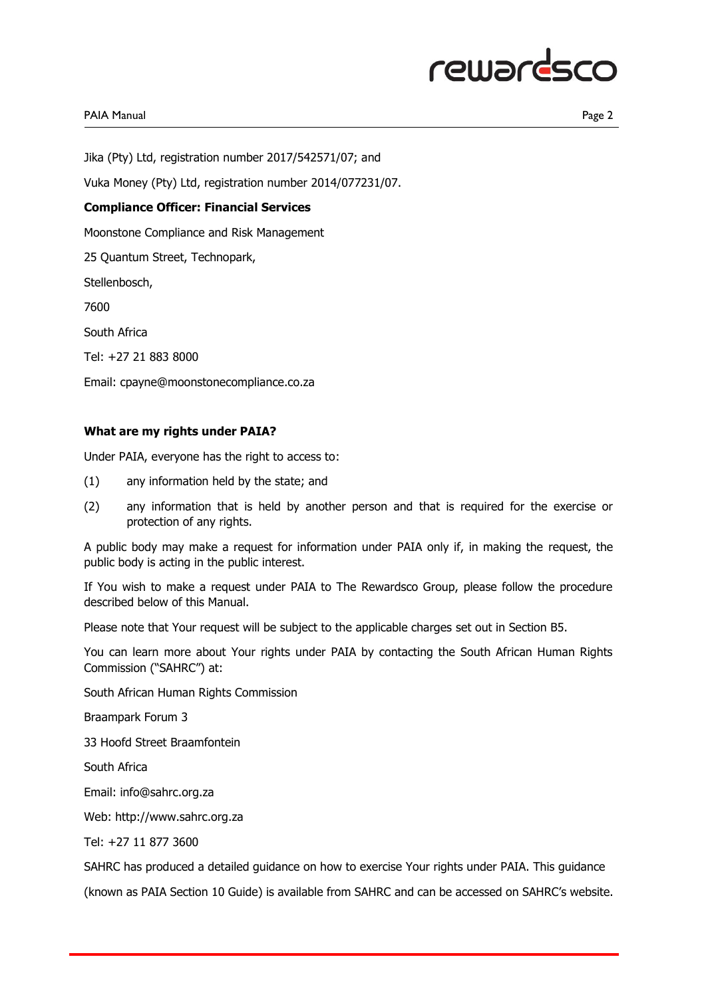## PAIA Manual Page 2

Jika (Pty) Ltd, registration number 2017/542571/07; and

Vuka Money (Pty) Ltd, registration number 2014/077231/07.

## **Compliance Officer: Financial Services**

Moonstone Compliance and Risk Management

25 Quantum Street, Technopark,

Stellenbosch,

7600

South Africa

Tel: +27 21 883 8000

Email: cpayne@moonstonecompliance.co.za

## **What are my rights under PAIA?**

Under PAIA, everyone has the right to access to:

- (1) any information held by the state; and
- (2) any information that is held by another person and that is required for the exercise or protection of any rights.

A public body may make a request for information under PAIA only if, in making the request, the public body is acting in the public interest.

If You wish to make a request under PAIA to The Rewardsco Group, please follow the procedure described below of this Manual.

Please note that Your request will be subject to the applicable charges set out in Section B5.

You can learn more about Your rights under PAIA by contacting the South African Human Rights Commission ("SAHRC") at:

South African Human Rights Commission

Braampark Forum 3

33 Hoofd Street Braamfontein

South Africa

Email: info@sahrc.org.za

Web: http://www.sahrc.org.za

Tel: +27 11 877 3600

SAHRC has produced a detailed guidance on how to exercise Your rights under PAIA. This guidance

(known as PAIA Section 10 Guide) is available from SAHRC and can be accessed on SAHRC's website.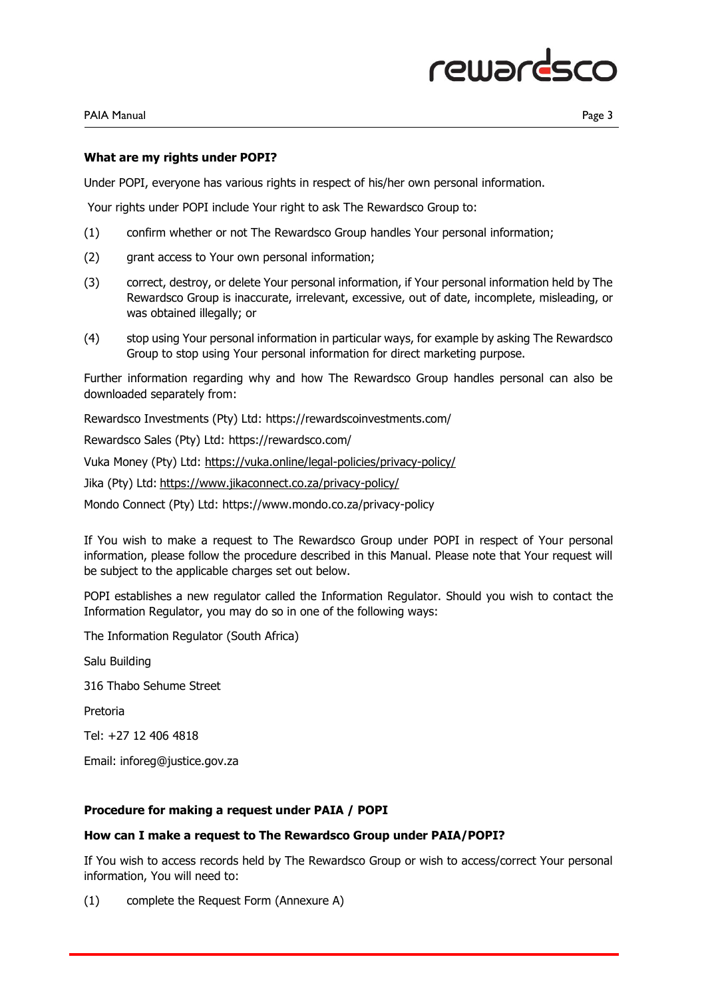#### **What are my rights under POPI?**

Under POPI, everyone has various rights in respect of his/her own personal information.

Your rights under POPI include Your right to ask The Rewardsco Group to:

- (1) confirm whether or not The Rewardsco Group handles Your personal information;
- (2) grant access to Your own personal information;
- (3) correct, destroy, or delete Your personal information, if Your personal information held by The Rewardsco Group is inaccurate, irrelevant, excessive, out of date, incomplete, misleading, or was obtained illegally; or
- (4) stop using Your personal information in particular ways, for example by asking The Rewardsco Group to stop using Your personal information for direct marketing purpose.

Further information regarding why and how The Rewardsco Group handles personal can also be downloaded separately from:

Rewardsco Investments (Pty) Ltd: https://rewardscoinvestments.com/

Rewardsco Sales (Pty) Ltd: https://rewardsco.com/

Vuka Money (Pty) Ltd:<https://vuka.online/legal-policies/privacy-policy/>

Jika (Pty) Ltd: <https://www.jikaconnect.co.za/privacy-policy/>

Mondo Connect (Pty) Ltd: https://www.mondo.co.za/privacy-policy

If You wish to make a request to The Rewardsco Group under POPI in respect of Your personal information, please follow the procedure described in this Manual. Please note that Your request will be subject to the applicable charges set out below.

POPI establishes a new regulator called the Information Regulator. Should you wish to contact the Information Regulator, you may do so in one of the following ways:

The Information Regulator (South Africa)

Salu Building

316 Thabo Sehume Street

Pretoria

Tel: +27 12 406 4818

Email: inforeg@justice.gov.za

## **Procedure for making a request under PAIA / POPI**

## **How can I make a request to The Rewardsco Group under PAIA/POPI?**

If You wish to access records held by The Rewardsco Group or wish to access/correct Your personal information, You will need to:

(1) complete the Request Form (Annexure A)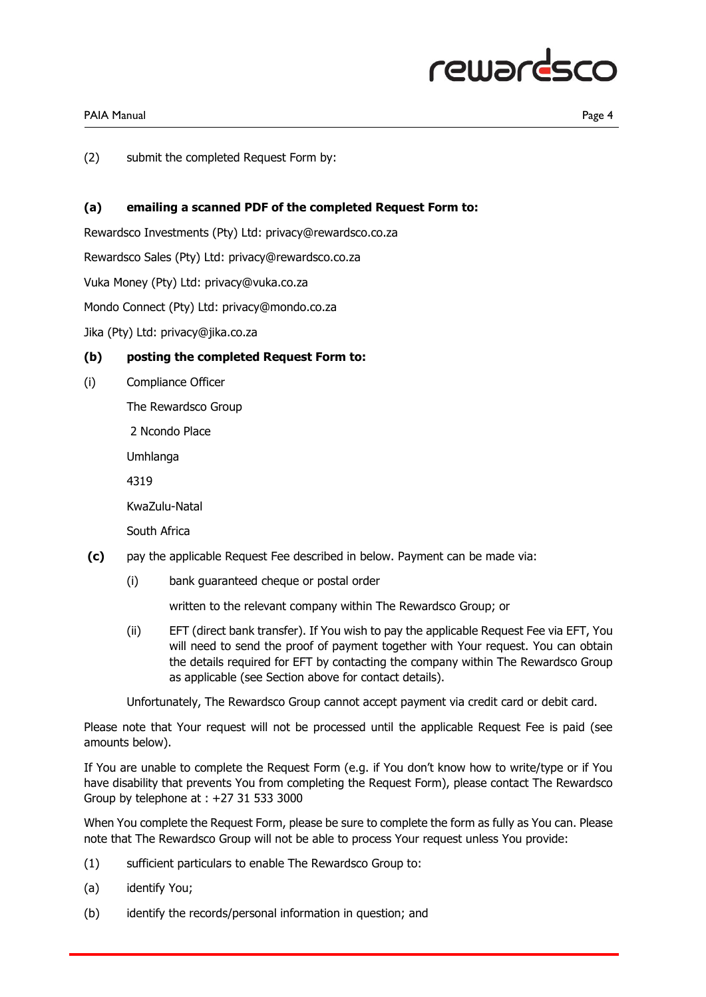## rewards

## PAIA Manual Page 4

(2) submit the completed Request Form by:

## **(a) emailing a scanned PDF of the completed Request Form to:**

Rewardsco Investments (Pty) Ltd: privacy@rewardsco.co.za

Rewardsco Sales (Pty) Ltd: privacy@rewardsco.co.za

Vuka Money (Pty) Ltd: privacy@vuka.co.za

Mondo Connect (Pty) Ltd: privacy@mondo.co.za

Jika (Pty) Ltd: privacy@jika.co.za

## **(b) posting the completed Request Form to:**

(i) Compliance Officer

The Rewardsco Group

2 Ncondo Place

Umhlanga

4319

KwaZulu-Natal

South Africa

- **(c)** pay the applicable Request Fee described in below. Payment can be made via:
	- (i) bank guaranteed cheque or postal order

written to the relevant company within The Rewardsco Group; or

(ii) EFT (direct bank transfer). If You wish to pay the applicable Request Fee via EFT, You will need to send the proof of payment together with Your request. You can obtain the details required for EFT by contacting the company within The Rewardsco Group as applicable (see Section above for contact details).

Unfortunately, The Rewardsco Group cannot accept payment via credit card or debit card.

Please note that Your request will not be processed until the applicable Request Fee is paid (see amounts below).

If You are unable to complete the Request Form (e.g. if You don't know how to write/type or if You have disability that prevents You from completing the Request Form), please contact The Rewardsco Group by telephone at : +27 31 533 3000

When You complete the Request Form, please be sure to complete the form as fully as You can. Please note that The Rewardsco Group will not be able to process Your request unless You provide:

- (1) sufficient particulars to enable The Rewardsco Group to:
- (a) identify You;
- (b) identify the records/personal information in question; and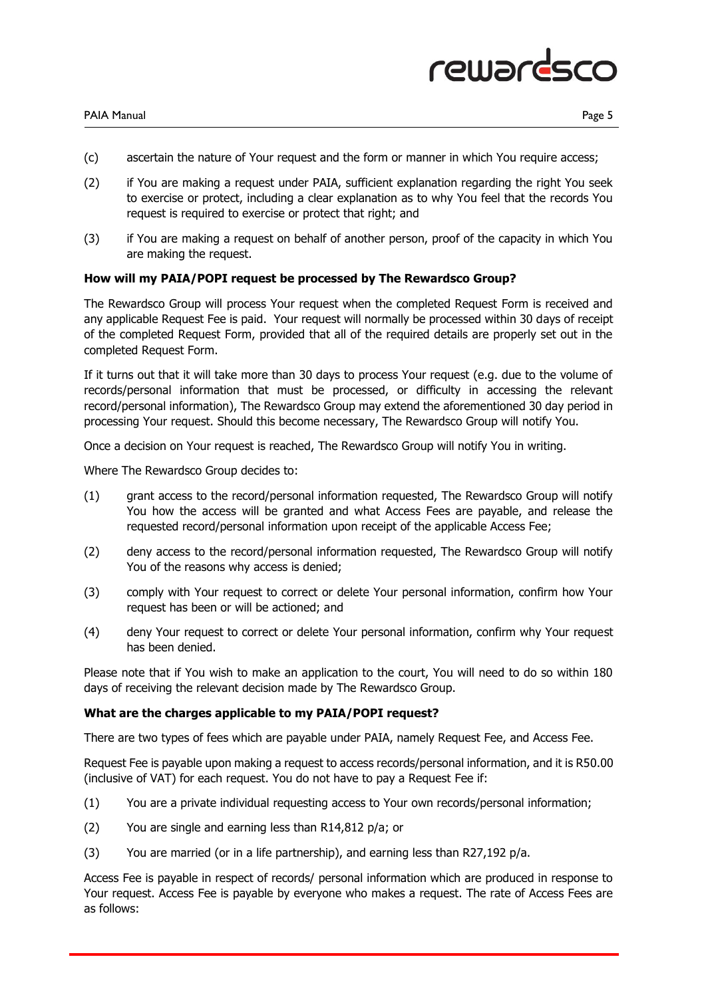

- (c) ascertain the nature of Your request and the form or manner in which You require access;
- (2) if You are making a request under PAIA, sufficient explanation regarding the right You seek to exercise or protect, including a clear explanation as to why You feel that the records You request is required to exercise or protect that right; and
- (3) if You are making a request on behalf of another person, proof of the capacity in which You are making the request.

#### **How will my PAIA/POPI request be processed by The Rewardsco Group?**

The Rewardsco Group will process Your request when the completed Request Form is received and any applicable Request Fee is paid. Your request will normally be processed within 30 days of receipt of the completed Request Form, provided that all of the required details are properly set out in the completed Request Form.

If it turns out that it will take more than 30 days to process Your request (e.g. due to the volume of records/personal information that must be processed, or difficulty in accessing the relevant record/personal information), The Rewardsco Group may extend the aforementioned 30 day period in processing Your request. Should this become necessary, The Rewardsco Group will notify You.

Once a decision on Your request is reached, The Rewardsco Group will notify You in writing.

Where The Rewardsco Group decides to:

- (1) grant access to the record/personal information requested, The Rewardsco Group will notify You how the access will be granted and what Access Fees are payable, and release the requested record/personal information upon receipt of the applicable Access Fee;
- (2) deny access to the record/personal information requested, The Rewardsco Group will notify You of the reasons why access is denied;
- (3) comply with Your request to correct or delete Your personal information, confirm how Your request has been or will be actioned; and
- (4) deny Your request to correct or delete Your personal information, confirm why Your request has been denied.

Please note that if You wish to make an application to the court, You will need to do so within 180 days of receiving the relevant decision made by The Rewardsco Group.

#### **What are the charges applicable to my PAIA/POPI request?**

There are two types of fees which are payable under PAIA, namely Request Fee, and Access Fee.

Request Fee is payable upon making a request to access records/personal information, and it is R50.00 (inclusive of VAT) for each request. You do not have to pay a Request Fee if:

- (1) You are a private individual requesting access to Your own records/personal information;
- (2) You are single and earning less than R14,812 p/a; or
- (3) You are married (or in a life partnership), and earning less than R27,192 p/a.

Access Fee is payable in respect of records/ personal information which are produced in response to Your request. Access Fee is payable by everyone who makes a request. The rate of Access Fees are as follows: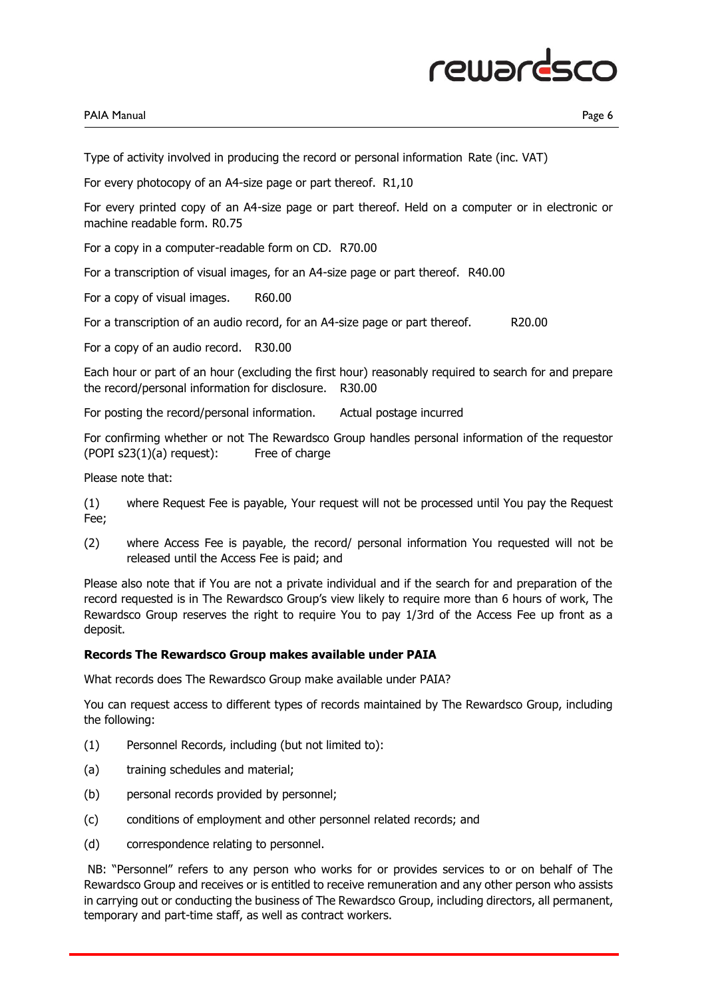Type of activity involved in producing the record or personal information Rate (inc. VAT)

For every photocopy of an A4-size page or part thereof. R1,10

For every printed copy of an A4-size page or part thereof. Held on a computer or in electronic or machine readable form. R0.75

For a copy in a computer-readable form on CD. R70.00

For a transcription of visual images, for an A4-size page or part thereof. R40.00

For a copy of visual images. R60.00

For a transcription of an audio record, for an A4-size page or part thereof. R20.00

For a copy of an audio record. R30.00

Each hour or part of an hour (excluding the first hour) reasonably required to search for and prepare the record/personal information for disclosure. R30.00

For posting the record/personal information. Actual postage incurred

For confirming whether or not The Rewardsco Group handles personal information of the requestor  $(POPI s23(1)(a) request):$  Free of charge

Please note that:

(1) where Request Fee is payable, Your request will not be processed until You pay the Request Fee;

(2) where Access Fee is payable, the record/ personal information You requested will not be released until the Access Fee is paid; and

Please also note that if You are not a private individual and if the search for and preparation of the record requested is in The Rewardsco Group's view likely to require more than 6 hours of work, The Rewardsco Group reserves the right to require You to pay 1/3rd of the Access Fee up front as a deposit.

## **Records The Rewardsco Group makes available under PAIA**

What records does The Rewardsco Group make available under PAIA?

You can request access to different types of records maintained by The Rewardsco Group, including the following:

- (1) Personnel Records, including (but not limited to):
- (a) training schedules and material;
- (b) personal records provided by personnel;
- (c) conditions of employment and other personnel related records; and
- (d) correspondence relating to personnel.

NB: "Personnel" refers to any person who works for or provides services to or on behalf of The Rewardsco Group and receives or is entitled to receive remuneration and any other person who assists in carrying out or conducting the business of The Rewardsco Group, including directors, all permanent, temporary and part-time staff, as well as contract workers.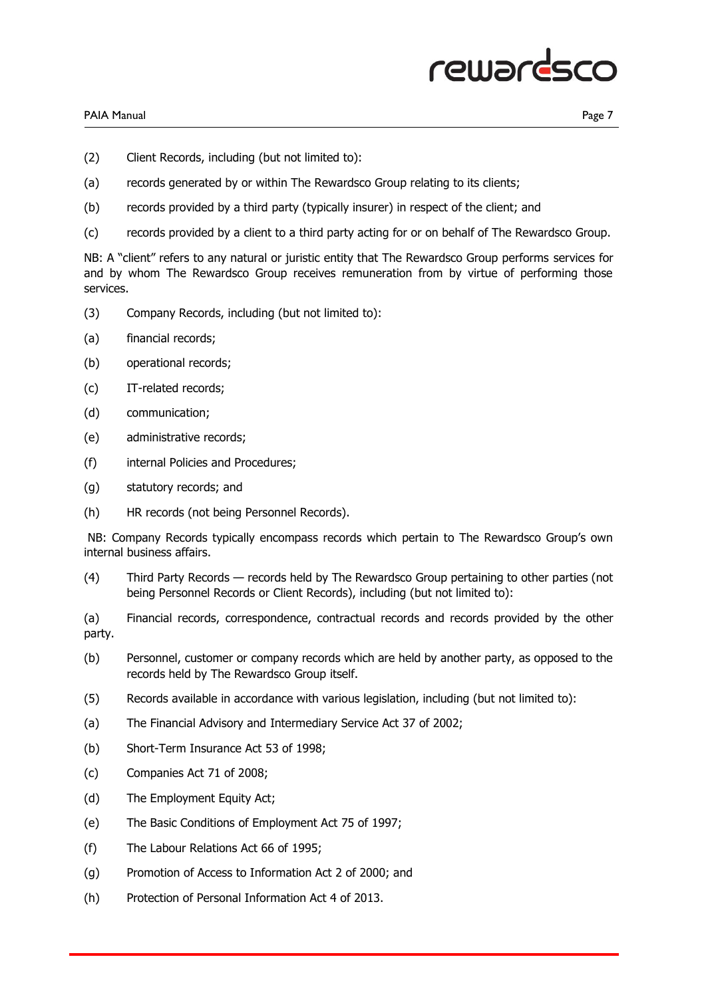## PAIA Manual Page 7

- (2) Client Records, including (but not limited to):
- (a) records generated by or within The Rewardsco Group relating to its clients;
- (b) records provided by a third party (typically insurer) in respect of the client; and
- (c) records provided by a client to a third party acting for or on behalf of The Rewardsco Group.

NB: A "client" refers to any natural or juristic entity that The Rewardsco Group performs services for and by whom The Rewardsco Group receives remuneration from by virtue of performing those services.

- (3) Company Records, including (but not limited to):
- (a) financial records;
- (b) operational records;
- (c) IT-related records;
- (d) communication;
- (e) administrative records;
- (f) internal Policies and Procedures;
- (g) statutory records; and
- (h) HR records (not being Personnel Records).

NB: Company Records typically encompass records which pertain to The Rewardsco Group's own internal business affairs.

(4) Third Party Records — records held by The Rewardsco Group pertaining to other parties (not being Personnel Records or Client Records), including (but not limited to):

(a) Financial records, correspondence, contractual records and records provided by the other party.

- (b) Personnel, customer or company records which are held by another party, as opposed to the records held by The Rewardsco Group itself.
- (5) Records available in accordance with various legislation, including (but not limited to):
- (a) The Financial Advisory and Intermediary Service Act 37 of 2002;
- (b) Short-Term Insurance Act 53 of 1998;
- (c) Companies Act 71 of 2008;
- (d) The Employment Equity Act;
- (e) The Basic Conditions of Employment Act 75 of 1997;
- (f) The Labour Relations Act 66 of 1995;
- (g) Promotion of Access to Information Act 2 of 2000; and
- (h) Protection of Personal Information Act 4 of 2013.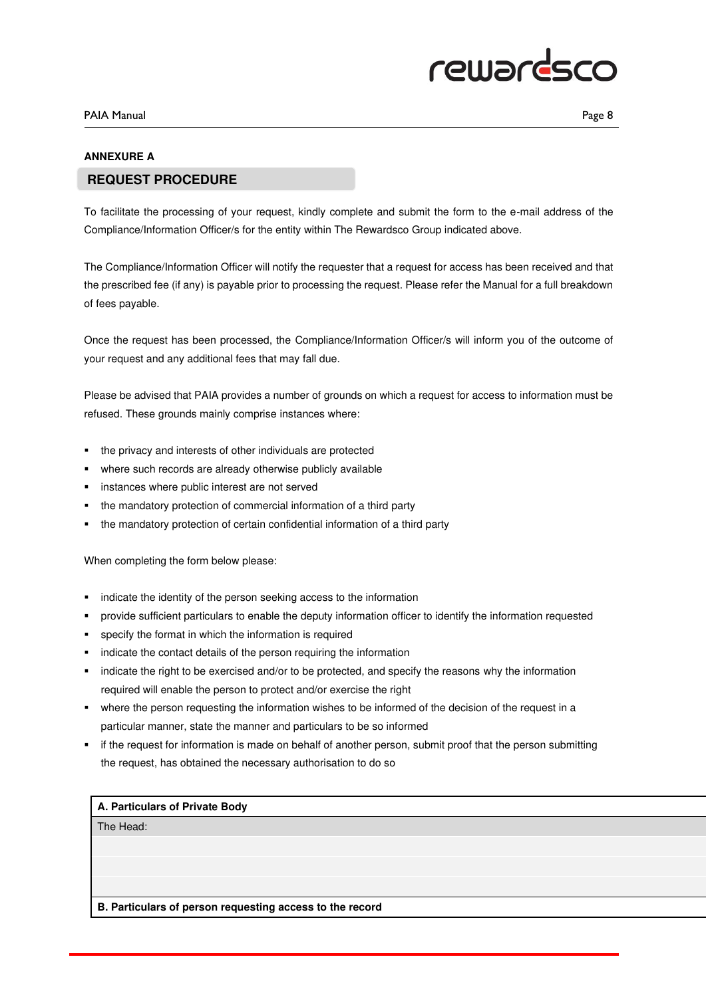

#### **ANNEXURE A**

#### **REQUEST PROCEDURE**

To facilitate the processing of your request, kindly complete and submit the form to the e-mail address of the Compliance/Information Officer/s for the entity within The Rewardsco Group indicated above.

The Compliance/Information Officer will notify the requester that a request for access has been received and that the prescribed fee (if any) is payable prior to processing the request. Please refer the Manual for a full breakdown of fees payable.

Once the request has been processed, the Compliance/Information Officer/s will inform you of the outcome of your request and any additional fees that may fall due.

Please be advised that PAIA provides a number of grounds on which a request for access to information must be refused. These grounds mainly comprise instances where:

- the privacy and interests of other individuals are protected
- where such records are already otherwise publicly available
- **·** instances where public interest are not served
- the mandatory protection of commercial information of a third party
- the mandatory protection of certain confidential information of a third party

When completing the form below please:

- indicate the identity of the person seeking access to the information
- provide sufficient particulars to enable the deputy information officer to identify the information requested
- specify the format in which the information is required
- **.** indicate the contact details of the person requiring the information
- indicate the right to be exercised and/or to be protected, and specify the reasons why the information required will enable the person to protect and/or exercise the right
- where the person requesting the information wishes to be informed of the decision of the request in a particular manner, state the manner and particulars to be so informed
- if the request for information is made on behalf of another person, submit proof that the person submitting the request, has obtained the necessary authorisation to do so

#### **A. Particulars of Private Body**

The Head:

**B. Particulars of person requesting access to the record**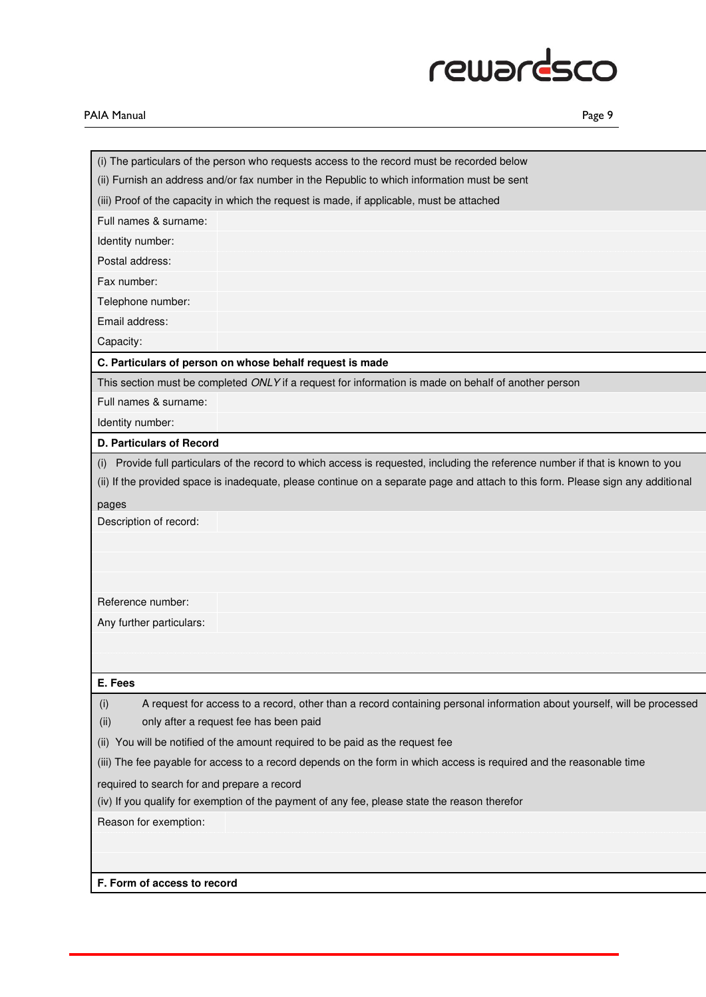

#### PAIA Manual Page 9

| (i) The particulars of the person who requests access to the record must be recorded below                                         |
|------------------------------------------------------------------------------------------------------------------------------------|
| (ii) Furnish an address and/or fax number in the Republic to which information must be sent                                        |
| (iii) Proof of the capacity in which the request is made, if applicable, must be attached                                          |
| Full names & surname:                                                                                                              |
| Identity number:                                                                                                                   |
| Postal address:                                                                                                                    |
| Fax number:                                                                                                                        |
| Telephone number:                                                                                                                  |
| Email address:                                                                                                                     |
| Capacity:                                                                                                                          |
| C. Particulars of person on whose behalf request is made                                                                           |
| This section must be completed ONLY if a request for information is made on behalf of another person                               |
| Full names & surname:                                                                                                              |
| Identity number:                                                                                                                   |
| <b>D. Particulars of Record</b>                                                                                                    |
| Provide full particulars of the record to which access is requested, including the reference number if that is known to you<br>(i) |
| (ii) If the provided space is inadequate, please continue on a separate page and attach to this form. Please sign any additional   |
| pages                                                                                                                              |
| Description of record:                                                                                                             |
|                                                                                                                                    |
|                                                                                                                                    |
|                                                                                                                                    |
| Reference number:                                                                                                                  |
| Any further particulars:                                                                                                           |
|                                                                                                                                    |
|                                                                                                                                    |
| E. Fees                                                                                                                            |
| A request for access to a record, other than a record containing personal information about yourself, will be processed<br>(i)     |
| only after a request fee has been paid<br>(ii)                                                                                     |
| (ii) You will be notified of the amount required to be paid as the request fee                                                     |
| (iii) The fee payable for access to a record depends on the form in which access is required and the reasonable time               |
| required to search for and prepare a record                                                                                        |
| (iv) If you qualify for exemption of the payment of any fee, please state the reason therefor                                      |
| Reason for exemption:                                                                                                              |
|                                                                                                                                    |
|                                                                                                                                    |
| F. Form of access to record                                                                                                        |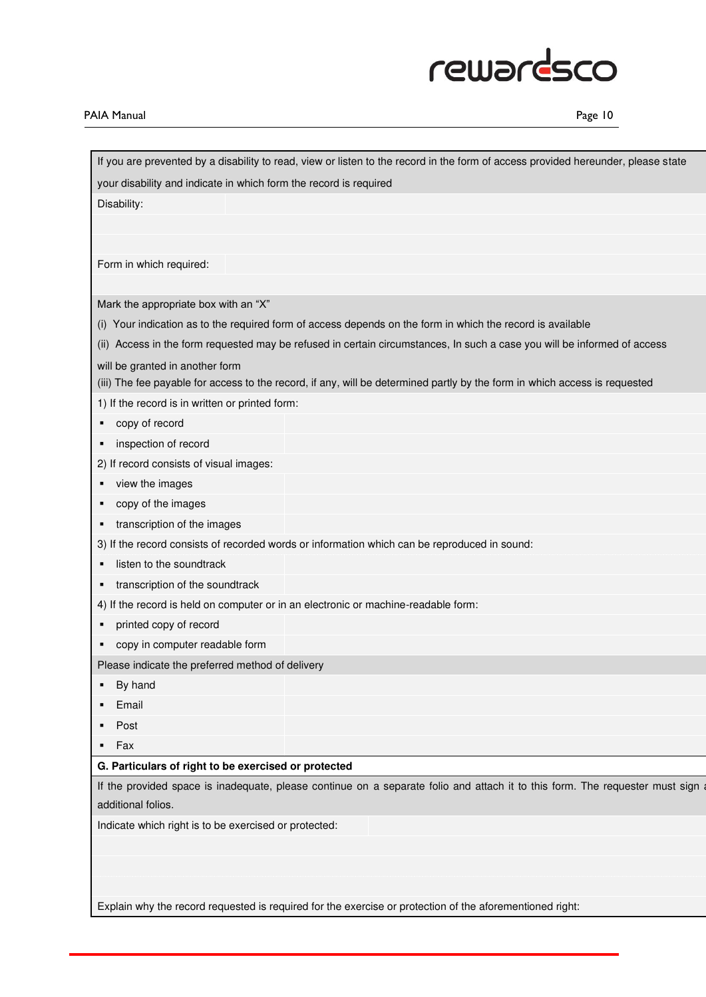## PAIA Manual Page 10

| If you are prevented by a disability to read, view or listen to the record in the form of access provided hereunder, please state |
|-----------------------------------------------------------------------------------------------------------------------------------|
| your disability and indicate in which form the record is required                                                                 |
| Disability:                                                                                                                       |
|                                                                                                                                   |
|                                                                                                                                   |
| Form in which required:                                                                                                           |
|                                                                                                                                   |
| Mark the appropriate box with an "X"                                                                                              |
| (i) Your indication as to the required form of access depends on the form in which the record is available                        |
| (ii) Access in the form requested may be refused in certain circumstances, In such a case you will be informed of access          |
| will be granted in another form                                                                                                   |
| (iii) The fee payable for access to the record, if any, will be determined partly by the form in which access is requested        |
| 1) If the record is in written or printed form:                                                                                   |
| copy of record<br>٠                                                                                                               |
| inspection of record<br>٠                                                                                                         |
| 2) If record consists of visual images:                                                                                           |
| view the images<br>٠                                                                                                              |
| copy of the images                                                                                                                |
| transcription of the images<br>п                                                                                                  |
| 3) If the record consists of recorded words or information which can be reproduced in sound:                                      |
| listen to the soundtrack<br>٠                                                                                                     |
| transcription of the soundtrack<br>٠                                                                                              |
| 4) If the record is held on computer or in an electronic or machine-readable form:                                                |
| printed copy of record                                                                                                            |
| copy in computer readable form<br>٠                                                                                               |
| Please indicate the preferred method of delivery                                                                                  |
| By hand                                                                                                                           |
| Email                                                                                                                             |
| Post                                                                                                                              |
| Fax<br>٠                                                                                                                          |
| G. Particulars of right to be exercised or protected                                                                              |
| If the provided space is inadequate, please continue on a separate folio and attach it to this form. The requester must sign      |
| additional folios.                                                                                                                |
| Indicate which right is to be exercised or protected:                                                                             |
|                                                                                                                                   |
|                                                                                                                                   |
|                                                                                                                                   |
| Explain why the record requested is required for the exercise or protection of the aforementioned right:                          |